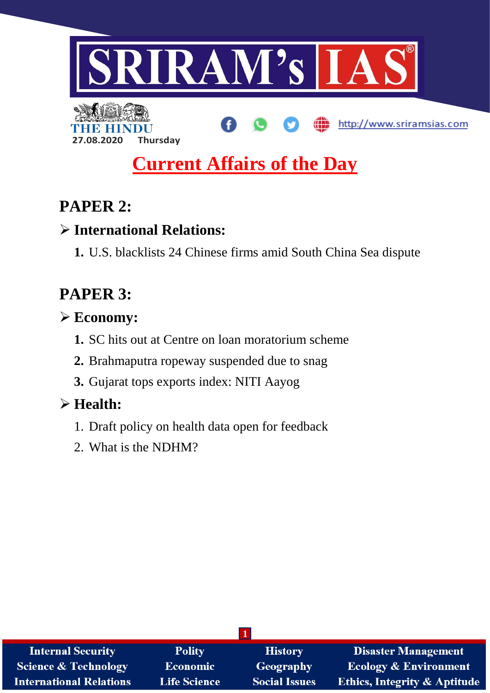

# **Current Affairs of the Day**

# **PAPER 2:**

# **International Relations:**

**1.** U.S. blacklists 24 Chinese firms amid South China Sea dispute

# **PAPER 3:**

# **Economy:**

- **1.** SC hits out at Centre on loan moratorium scheme
- **2.** Brahmaputra ropeway suspended due to snag
- **3.** Gujarat tops exports index: NITI Aayog

# **Health:**

- 1. Draft policy on health data open for feedback
- 2. What is the NDHM?

| <b>Internal Security</b>        | <b>Polity</b>       | <b>History</b>       | <b>Disaster Management</b>              |
|---------------------------------|---------------------|----------------------|-----------------------------------------|
| <b>Science &amp; Technology</b> | Economic            | Geography            | <b>Ecology &amp; Environment</b>        |
| <b>International Relations</b>  | <b>Life Science</b> | <b>Social Issues</b> | <b>Ethics, Integrity &amp; Aptitude</b> |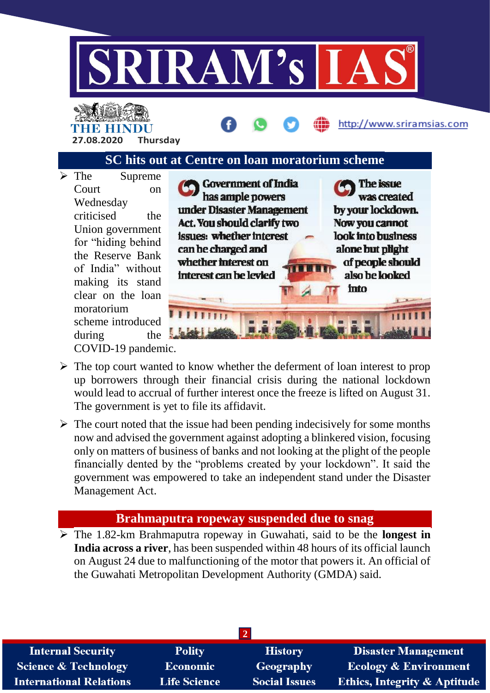

# THE BELLET **27.08.2020 Thursday**

## **SC hits out at Centre on loan moratorium scheme**

 $\triangleright$  The Supreme Court on Wednesday criticised the Union government for "hiding behind the Reserve Bank of India" without making its stand clear on the loan moratorium scheme introduced during the COVID-19 pandemic.

![](_page_1_Picture_4.jpeg)

http://www.sriramsias.com

- $\triangleright$  The top court wanted to know whether the deferment of loan interest to prop up borrowers through their financial crisis during the national lockdown would lead to accrual of further interest once the freeze is lifted on August 31. The government is yet to file its affidavit.
- $\triangleright$  The court noted that the issue had been pending indecisively for some months now and advised the government against adopting a blinkered vision, focusing only on matters of business of banks and not looking at the plight of the people financially dented by the "problems created by your lockdown". It said the government was empowered to take an independent stand under the Disaster Management Act.

### **Brahmaputra ropeway suspended due to snag**

 The 1.82-km Brahmaputra ropeway in Guwahati, said to be the **longest in India across a river**, has been suspended within 48 hours of its official launch on August 24 due to malfunctioning of the motor that powers it. An official of the Guwahati Metropolitan Development Authority (GMDA) said.

| <b>Internal Security</b>        | <b>Polity</b>       | <b>History</b>       | <b>Disaster Management</b>              |
|---------------------------------|---------------------|----------------------|-----------------------------------------|
| <b>Science &amp; Technology</b> | <b>Economic</b>     | Geography            | <b>Ecology &amp; Environment</b>        |
| <b>International Relations</b>  | <b>Life Science</b> | <b>Social Issues</b> | <b>Ethics, Integrity &amp; Aptitude</b> |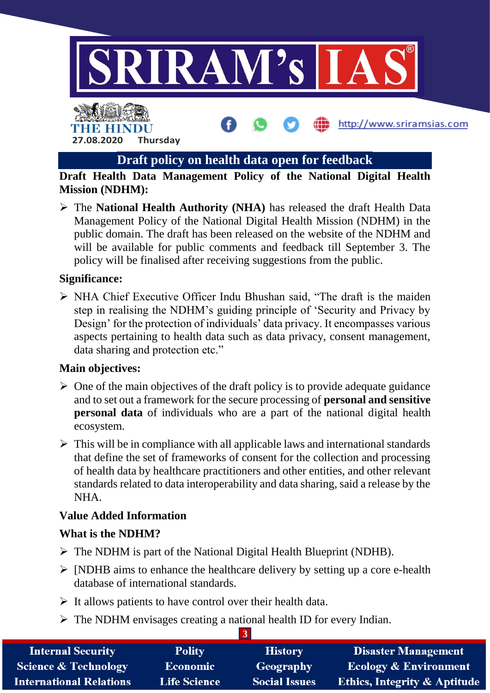![](_page_2_Picture_0.jpeg)

http://www.sriramsias.com

# **Draft policy on health data open for feedback**

**Draft Health Data Management Policy of the National Digital Health Mission (NDHM):**

 The **National Health Authority (NHA)** has released the draft Health Data Management Policy of the National Digital Health Mission (NDHM) in the public domain. The draft has been released on the website of the NDHM and will be available for public comments and feedback till September 3. The policy will be finalised after receiving suggestions from the public.

#### **Significance:**

**27.08.2020 Thursday**

THE HIND

 $\triangleright$  NHA Chief Executive Officer Indu Bhushan said, "The draft is the maiden step in realising the NDHM's guiding principle of 'Security and Privacy by Design' for the protection of individuals' data privacy. It encompasses various aspects pertaining to health data such as data privacy, consent management, data sharing and protection etc."

#### **Main objectives:**

- $\triangleright$  One of the main objectives of the draft policy is to provide adequate guidance and to set out a framework for the secure processing of **personal and sensitive personal data** of individuals who are a part of the national digital health ecosystem.
- $\triangleright$  This will be in compliance with all applicable laws and international standards that define the set of frameworks of consent for the collection and processing of health data by healthcare practitioners and other entities, and other relevant standards related to data interoperability and data sharing, said a release by the NHA.

#### **Value Added Information**

#### **What is the NDHM?**

- $\triangleright$  The NDHM is part of the National Digital Health Blueprint (NDHB).
- $\triangleright$  [NDHB aims to enhance the healthcare delivery by setting up a core e-health database of international standards.
- $\triangleright$  It allows patients to have control over their health data.
- $\triangleright$  The NDHM envisages creating a national health ID for every Indian.

| <b>Internal Security</b>        | <b>Polity</b>       | <b>History</b>       | <b>Disaster Management</b>              |
|---------------------------------|---------------------|----------------------|-----------------------------------------|
| <b>Science &amp; Technology</b> | <b>Economic</b>     | Geography            | <b>Ecology &amp; Environment</b>        |
| <b>International Relations</b>  | <b>Life Science</b> | <b>Social Issues</b> | <b>Ethics, Integrity &amp; Aptitude</b> |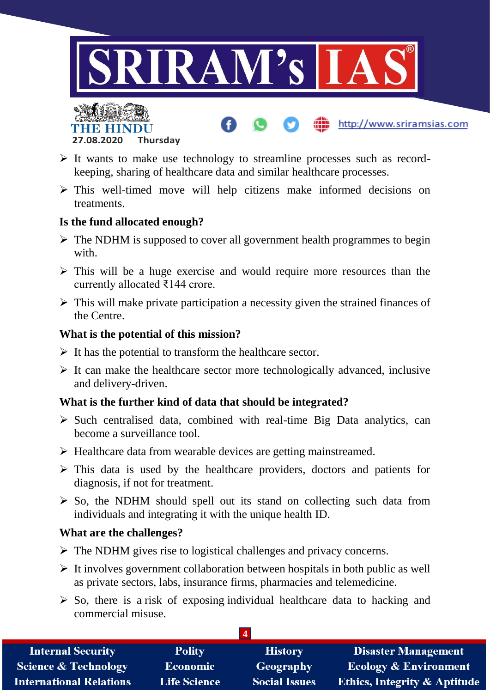![](_page_3_Picture_0.jpeg)

http://www.sriramsias.com

![](_page_3_Picture_1.jpeg)

- $\triangleright$  It wants to make use technology to streamline processes such as recordkeeping, sharing of healthcare data and similar healthcare processes.
- $\triangleright$  This well-timed move will help citizens make informed decisions on treatments.

### **Is the fund allocated enough?**

- $\triangleright$  The NDHM is supposed to cover all government health programmes to begin with.
- $\triangleright$  This will be a huge exercise and would require more resources than the currently allocated ₹144 crore.
- $\triangleright$  This will make private participation a necessity given the strained finances of the Centre.

## **What is the potential of this mission?**

- $\triangleright$  It has the potential to transform the healthcare sector.
- $\triangleright$  It can make the healthcare sector more technologically advanced, inclusive and delivery-driven.

## **What is the further kind of data that should be integrated?**

- $\triangleright$  Such centralised data, combined with real-time Big Data analytics, can become a surveillance tool.
- $\triangleright$  Healthcare data from wearable devices are getting mainstreamed.
- $\triangleright$  This data is used by the healthcare providers, doctors and patients for diagnosis, if not for treatment.
- $\triangleright$  So, the NDHM should spell out its stand on collecting such data from individuals and integrating it with the unique health ID.

### **What are the challenges?**

- $\triangleright$  The NDHM gives rise to logistical challenges and privacy concerns.
- $\triangleright$  It involves government collaboration between hospitals in both public as well as private sectors, labs, insurance firms, pharmacies and telemedicine.
- $\triangleright$  So, there is a risk of exposing individual healthcare data to hacking and commercial misuse.

| <b>Internal Security</b>        | <b>Polity</b>       | <b>History</b>       | <b>Disaster Management</b>              |
|---------------------------------|---------------------|----------------------|-----------------------------------------|
| <b>Science &amp; Technology</b> | Economic            | Geography            | <b>Ecology &amp; Environment</b>        |
| <b>International Relations</b>  | <b>Life Science</b> | <b>Social Issues</b> | <b>Ethics, Integrity &amp; Aptitude</b> |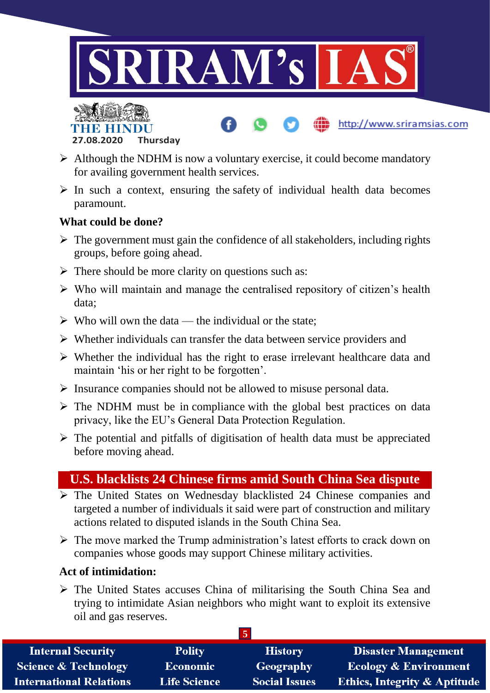![](_page_4_Picture_0.jpeg)

http://www.sriramsias.com

![](_page_4_Picture_1.jpeg)

- $\triangleright$  Although the NDHM is now a voluntary exercise, it could become mandatory for availing government health services.
- $\triangleright$  In such a context, ensuring the safety of individual health data becomes paramount.

#### **What could be done?**

- $\triangleright$  The government must gain the confidence of all stakeholders, including rights groups, before going ahead.
- $\triangleright$  There should be more clarity on questions such as:
- $\triangleright$  Who will maintain and manage the centralised repository of citizen's health data;
- $\triangleright$  Who will own the data the individual or the state:
- $\triangleright$  Whether individuals can transfer the data between service providers and
- $\triangleright$  Whether the individual has the right to erase irrelevant healthcare data and maintain 'his or her right to be forgotten'.
- $\triangleright$  Insurance companies should not be allowed to misuse personal data.
- $\triangleright$  The NDHM must be in compliance with the global best practices on data privacy, like the EU's General Data Protection Regulation.
- $\triangleright$  The potential and pitfalls of digitisation of health data must be appreciated before moving ahead.

# **U.S. blacklists 24 Chinese firms amid South China Sea dispute**

- $\triangleright$  The United States on Wednesday blacklisted 24 Chinese companies and targeted a number of individuals it said were part of construction and military actions related to disputed islands in the South China Sea.
- $\triangleright$  The move marked the Trump administration's latest efforts to crack down on companies whose goods may support Chinese military activities.

### **Act of intimidation:**

 $\triangleright$  The United States accuses China of militarising the South China Sea and trying to intimidate Asian neighbors who might want to exploit its extensive oil and gas reserves.

| <b>Internal Security</b>        | <b>Polity</b>       | <b>History</b>       | <b>Disaster Management</b>              |
|---------------------------------|---------------------|----------------------|-----------------------------------------|
| <b>Science &amp; Technology</b> | <b>Economic</b>     | Geography            | <b>Ecology &amp; Environment</b>        |
| <b>International Relations</b>  | <b>Life Science</b> | <b>Social Issues</b> | <b>Ethics, Integrity &amp; Aptitude</b> |